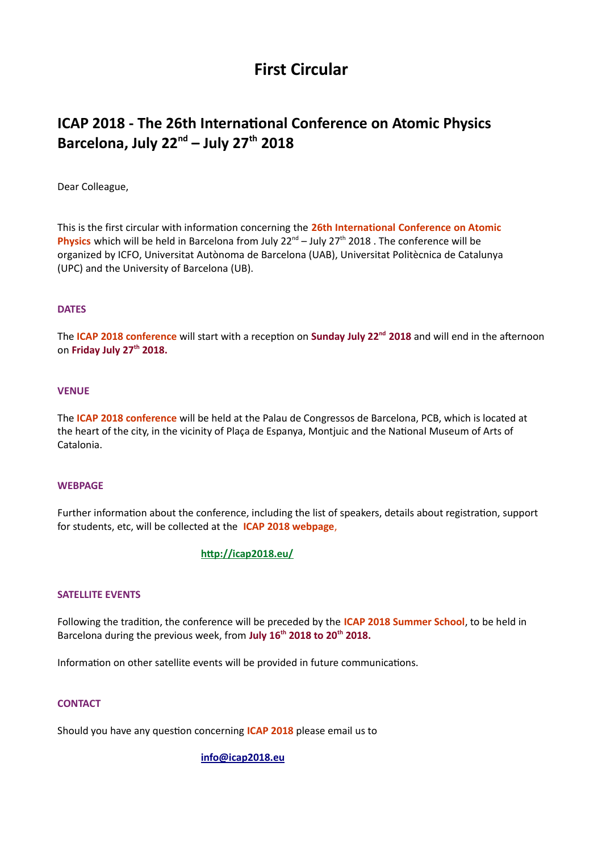# **First Circular**

# **ICAP 2018 - The 26th International Conference on Atomic Physics Barcelona, July 22nd – July 27th 2018**

Dear Colleague,

This is the first circular with information concerning the **26th International Conference on Atomic**  Physics which will be held in Barcelona from July 22<sup>nd</sup> – July 27<sup>th</sup> 2018 . The conference will be organized by ICFO, Universitat Autònoma de Barcelona (UAB), Universitat Politècnica de Catalunya (UPC) and the University of Barcelona (UB).

## **DATES**

The **ICAP 2018 conference** will start with a reception on **Sunday July 22nd 2018** and will end in the afternoon on **Friday July 27th 2018.**

### **VENUE**

The **ICAP 2018 conference** will be held at the Palau de Congressos de Barcelona, PCB, which is located at the heart of the city, in the vicinity of Plaça de Espanya, Montjuic and the National Museum of Arts of Catalonia.

### **WEBPAGE**

Further information about the conference, including the list of speakers, details about registration, support for students, etc, will be collected at the **ICAP 2018 webpage**,

## **<http://icap2018.eu/>**

## **SATELLITE EVENTS**

Following the tradition, the conference will be preceded by the **ICAP 2018 Summer School**, to be held in Barcelona during the previous week, from **July 16th 2018 to 20th 2018.**

Information on other satellite events will be provided in future communications.

## **CONTACT**

Should you have any question concerning **ICAP 2018** please email us to

### **[info@icap2018.eu](mailto:info@icap2018.eu)**